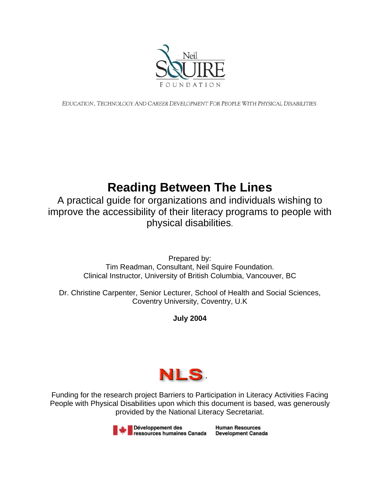

EDUCATION, TECHNOLOGY AND CAREER DEVELOPMENT FOR PEOPLE WITH PHYSICAL DISABILITIES.

# **Reading Between The Lines**

A practical guide for organizations and individuals wishing to improve the accessibility of their literacy programs to people with physical disabilities.

> Prepared by: Tim Readman, Consultant, Neil Squire Foundation. Clinical Instructor, University of British Columbia, Vancouver, BC

Dr. Christine Carpenter, Senior Lecturer, School of Health and Social Sciences, Coventry University, Coventry, U.K

## **July 2004**



Funding for the research project Barriers to Participation in Literacy Activities Facing People with Physical Disabilities upon which this document is based, was generously provided by the National Literacy Secretariat.

> Développement des **Human Resources** ressources humaines Canada **Development Canada**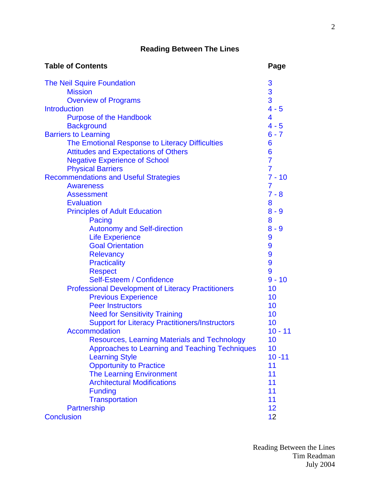## **Reading Between The Lines**

| <b>Table of Contents</b>                                  | Page           |
|-----------------------------------------------------------|----------------|
| <b>The Neil Squire Foundation</b>                         | 3              |
| <b>Mission</b>                                            | 3              |
| <b>Overview of Programs</b>                               | 3              |
| <b>Introduction</b>                                       | $4 - 5$        |
| <b>Purpose of the Handbook</b>                            | 4              |
| <b>Background</b>                                         | $4 - 5$        |
| <b>Barriers to Learning</b>                               | $6 - 7$        |
| The Emotional Response to Literacy Difficulties           | 6              |
| <b>Attitudes and Expectations of Others</b>               | 6              |
| <b>Negative Experience of School</b>                      | $\overline{7}$ |
| <b>Physical Barriers</b>                                  | $\overline{7}$ |
| <b>Recommendations and Useful Strategies</b>              | $7 - 10$       |
| <b>Awareness</b>                                          | 7              |
| <b>Assessment</b>                                         | $7 - 8$        |
| <b>Evaluation</b>                                         | 8              |
| <b>Principles of Adult Education</b>                      | $8 - 9$        |
| Pacing                                                    | 8              |
| <b>Autonomy and Self-direction</b>                        | $8 - 9$        |
| <b>Life Experience</b>                                    | 9              |
| <b>Goal Orientation</b>                                   | 9              |
| <b>Relevancy</b>                                          | 9              |
| <b>Practicality</b>                                       | 9              |
| <b>Respect</b>                                            | 9              |
| Self-Esteem / Confidence                                  | $9 - 10$       |
| <b>Professional Development of Literacy Practitioners</b> | 10             |
| <b>Previous Experience</b>                                | 10             |
| <b>Peer Instructors</b>                                   | 10             |
| <b>Need for Sensitivity Training</b>                      | 10             |
| <b>Support for Literacy Practitioners/Instructors</b>     | 10             |
| <b>Accommodation</b>                                      | $10 - 11$      |
| <b>Resources, Learning Materials and Technology</b>       | 10             |
| Approaches to Learning and Teaching Techniques            | 10             |
| <b>Learning Style</b>                                     | $10 - 11$      |
| <b>Opportunity to Practice</b>                            | 11             |
| <b>The Learning Environment</b>                           | 11             |
| <b>Architectural Modifications</b>                        | 11             |
| <b>Funding</b>                                            | 11             |
| <b>Transportation</b>                                     | 11             |
| Partnership                                               | 12             |
| <b>Conclusion</b>                                         | 12             |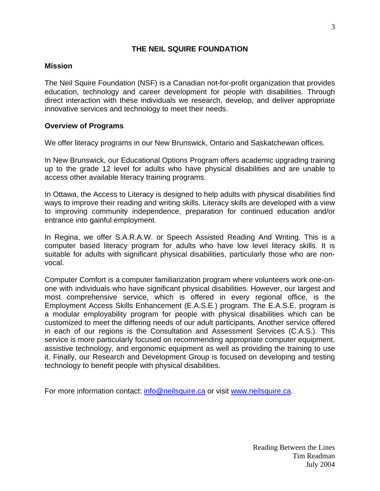#### **THE NEIL SQUIRE FOUNDATION**

#### <span id="page-2-0"></span>**Mission**

The Neil Squire Foundation (NSF) is a Canadian not-for-profit organization that provides education, technology and career development for people with disabilities. Through direct interaction with these individuals we research, develop, and deliver appropriate innovative services and technology to meet their needs.

#### **Overview of Programs**

We offer literacy programs in our New Brunswick, Ontario and Saskatchewan offices.

In New Brunswick, our Educational Options Program offers academic upgrading training up to the grade 12 level for adults who have physical disabilities and are unable to access other available literacy training programs.

In Ottawa, the Access to Literacy is designed to help adults with physical disabilities find ways to improve their reading and writing skills. Literacy skills are developed with a view to improving community independence, preparation for continued education and/or entrance into gainful employment.

In Regina, we offer S.A.R.A.W. or Speech Assisted Reading And Writing. This is a computer based literacy program for adults who have low level literacy skills. It is suitable for adults with significant physical disabilities, particularly those who are nonvocal.

Computer Comfort is a computer familiarization program where volunteers work one-onone with individuals who have significant physical disabilities. However, our largest and most comprehensive service, which is offered in every regional office, is the Employment Access Skills Enhancement (E.A.S.E.) program. The E.A.S.E. program is a modular employability program for people with physical disabilities which can be customized to meet the differing needs of our adult participants. Another service offered in each of our regions is the Consultation and Assessment Services (C.A.S.). This service is more particularly focused on recommending appropriate computer equipment, assistive technology, and ergonomic equipment as well as providing the training to use it. Finally, our Research and Development Group is focused on developing and testing technology to benefit people with physical disabilities.

For more information contact: [info@neilsquire.ca](mailto:info@neilsquire.ca) or visit [www.neilsquire.ca.](http://www.neilsquire.ca)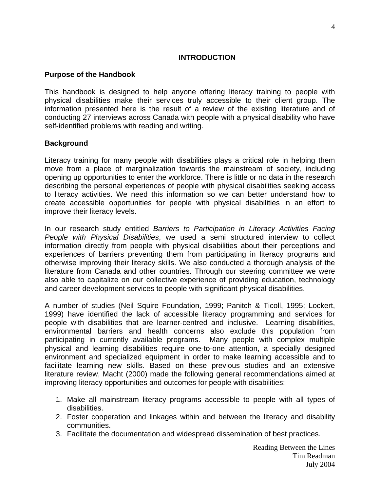#### **INTRODUCTION**

#### <span id="page-3-0"></span>**Purpose of the Handbook**

This handbook is designed to help anyone offering literacy training to people with physical disabilities make their services truly accessible to their client group. The information presented here is the result of a review of the existing literature and of conducting 27 interviews across Canada with people with a physical disability who have self-identified problems with reading and writing.

#### **Background**

Literacy training for many people with disabilities plays a critical role in helping them move from a place of marginalization towards the mainstream of society, including opening up opportunities to enter the workforce. There is little or no data in the research describing the personal experiences of people with physical disabilities seeking access to literacy activities. We need this information so we can better understand how to create accessible opportunities for people with physical disabilities in an effort to improve their literacy levels.

In our research study entitled *Barriers to Participation in Literacy Activities Facing People with Physical Disabilities*, we used a semi structured interview to collect information directly from people with physical disabilities about their perceptions and experiences of barriers preventing them from participating in literacy programs and otherwise improving their literacy skills. We also conducted a thorough analysis of the literature from Canada and other countries. Through our steering committee we were also able to capitalize on our collective experience of providing education, technology and career development services to people with significant physical disabilities.

A number of studies (Neil Squire Foundation, 1999; Panitch & Ticoll, 1995; Lockert, 1999) have identified the lack of accessible literacy programming and services for people with disabilities that are learner-centred and inclusive. Learning disabilities, environmental barriers and health concerns also exclude this population from participating in currently available programs. Many people with complex multiple physical and learning disabilities require one-to-one attention, a specially designed environment and specialized equipment in order to make learning accessible and to facilitate learning new skills. Based on these previous studies and an extensive literature review, Macht (2000) made the following general recommendations aimed at improving literacy opportunities and outcomes for people with disabilities:

- 1. Make all mainstream literacy programs accessible to people with all types of disabilities.
- 2. Foster cooperation and linkages within and between the literacy and disability communities.
- 3. Facilitate the documentation and widespread dissemination of best practices.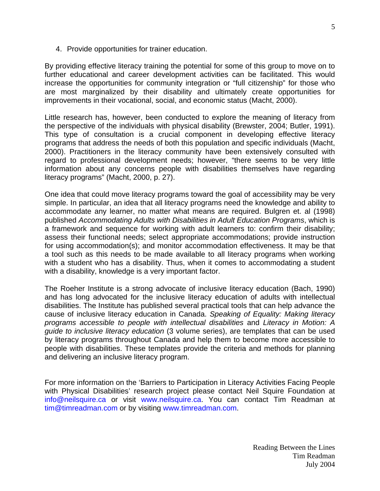4. Provide opportunities for trainer education.

By providing effective literacy training the potential for some of this group to move on to further educational and career development activities can be facilitated. This would increase the opportunities for community integration or "full citizenship" for those who are most marginalized by their disability and ultimately create opportunities for improvements in their vocational, social, and economic status (Macht, 2000).

Little research has, however, been conducted to explore the meaning of literacy from the perspective of the individuals with physical disability (Brewster, 2004; Butler, 1991). This type of consultation is a crucial component in developing effective literacy programs that address the needs of both this population and specific individuals (Macht, 2000). Practitioners in the literacy community have been extensively consulted with regard to professional development needs; however, "there seems to be very little information about any concerns people with disabilities themselves have regarding literacy programs" (Macht, 2000, p. 27).

One idea that could move literacy programs toward the goal of accessibility may be very simple. In particular, an idea that all literacy programs need the knowledge and ability to accommodate any learner, no matter what means are required. Bulgren et. al (1998) published *Accommodating Adults with Disabilities in Adult Education Programs*, which is a framework and sequence for working with adult learners to: confirm their disability; assess their functional needs; select appropriate accommodations; provide instruction for using accommodation(s); and monitor accommodation effectiveness. It may be that a tool such as this needs to be made available to all literacy programs when working with a student who has a disability. Thus, when it comes to accommodating a student with a disability, knowledge is a very important factor.

The Roeher Institute is a strong advocate of inclusive literacy education (Bach, 1990) and has long advocated for the inclusive literacy education of adults with intellectual disabilities. The Institute has published several practical tools that can help advance the cause of inclusive literacy education in Canada. *Speaking of Equality: Making literacy programs accessible to people with intellectual disabilities* and *Literacy in Motion: A guide to inclusive literacy education* (3 volume series), are templates that can be used by literacy programs throughout Canada and help them to become more accessible to people with disabilities. These templates provide the criteria and methods for planning and delivering an inclusive literacy program.

For more information on the 'Barriers to Participation in Literacy Activities Facing People with Physical Disabilities' research project please contact Neil Squire Foundation at [info@neilsquire.ca](mailto:info@neilsquire.ca) or visit [www.neilsquire.ca.](http://www.neilsquire.ca) You can contact Tim Readman at [tim@timreadman.com](mailto:tim@timreadman.com) or by visiting [www.timreadman.com.](http://www.timreadman.com)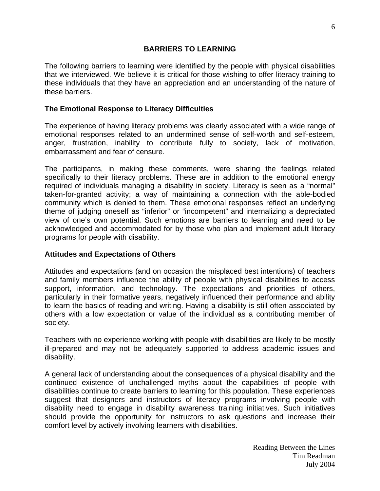#### **BARRIERS TO LEARNING**

<span id="page-5-0"></span>The following barriers to learning were identified by the people with physical disabilities that we interviewed. We believe it is critical for those wishing to offer literacy training to these individuals that they have an appreciation and an understanding of the nature of these barriers.

#### **The Emotional Response to Literacy Difficulties**

The experience of having literacy problems was clearly associated with a wide range of emotional responses related to an undermined sense of self-worth and self-esteem, anger, frustration, inability to contribute fully to society, lack of motivation, embarrassment and fear of censure.

The participants, in making these comments, were sharing the feelings related specifically to their literacy problems. These are in addition to the emotional energy required of individuals managing a disability in society. Literacy is seen as a "normal" taken-for-granted activity; a way of maintaining a connection with the able-bodied community which is denied to them. These emotional responses reflect an underlying theme of judging oneself as "inferior" or "incompetent" and internalizing a depreciated view of one's own potential. Such emotions are barriers to learning and need to be acknowledged and accommodated for by those who plan and implement adult literacy programs for people with disability.

## **Attitudes and Expectations of Others**

Attitudes and expectations (and on occasion the misplaced best intentions) of teachers and family members influence the ability of people with physical disabilities to access support, information, and technology. The expectations and priorities of others, particularly in their formative years, negatively influenced their performance and ability to learn the basics of reading and writing. Having a disability is still often associated by others with a low expectation or value of the individual as a contributing member of society.

Teachers with no experience working with people with disabilities are likely to be mostly ill-prepared and may not be adequately supported to address academic issues and disability.

A general lack of understanding about the consequences of a physical disability and the continued existence of unchallenged myths about the capabilities of people with disabilities continue to create barriers to learning for this population. These experiences suggest that designers and instructors of literacy programs involving people with disability need to engage in disability awareness training initiatives. Such initiatives should provide the opportunity for instructors to ask questions and increase their comfort level by actively involving learners with disabilities.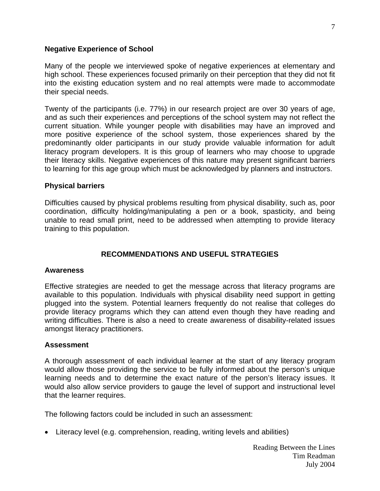#### <span id="page-6-0"></span>**Negative Experience of School**

Many of the people we interviewed spoke of negative experiences at elementary and high school. These experiences focused primarily on their perception that they did not fit into the existing education system and no real attempts were made to accommodate their special needs.

Twenty of the participants (i.e. 77%) in our research project are over 30 years of age, and as such their experiences and perceptions of the school system may not reflect the current situation. While younger people with disabilities may have an improved and more positive experience of the school system, those experiences shared by the predominantly older participants in our study provide valuable information for adult literacy program developers. It is this group of learners who may choose to upgrade their literacy skills. Negative experiences of this nature may present significant barriers to learning for this age group which must be acknowledged by planners and instructors.

#### **Physical barriers**

Difficulties caused by physical problems resulting from physical disability, such as, poor coordination, difficulty holding/manipulating a pen or a book, spasticity, and being unable to read small print, need to be addressed when attempting to provide literacy training to this population.

## **RECOMMENDATIONS AND USEFUL STRATEGIES**

#### **Awareness**

Effective strategies are needed to get the message across that literacy programs are available to this population. Individuals with physical disability need support in getting plugged into the system. Potential learners frequently do not realise that colleges do provide literacy programs which they can attend even though they have reading and writing difficulties. There is also a need to create awareness of disability-related issues amongst literacy practitioners.

#### **Assessment**

A thorough assessment of each individual learner at the start of any literacy program would allow those providing the service to be fully informed about the person's unique learning needs and to determine the exact nature of the person's literacy issues. It would also allow service providers to gauge the level of support and instructional level that the learner requires.

The following factors could be included in such an assessment:

• Literacy level (e.g. comprehension, reading, writing levels and abilities)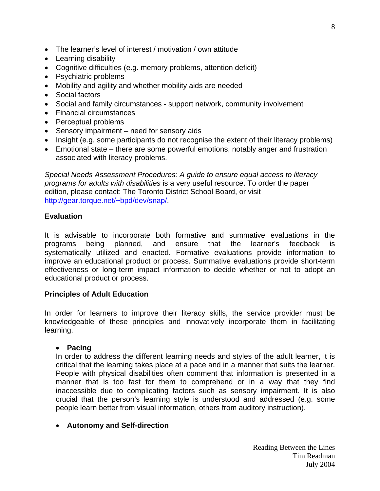- <span id="page-7-0"></span>• The learner's level of interest / motivation / own attitude
- Learning disability
- Cognitive difficulties (e.g. memory problems, attention deficit)
- Psychiatric problems
- Mobility and agility and whether mobility aids are needed
- Social factors
- Social and family circumstances support network, community involvement
- Financial circumstances
- Perceptual problems
- Sensory impairment need for sensory aids
- Insight (e.g. some participants do not recognise the extent of their literacy problems)
- Emotional state there are some powerful emotions, notably anger and frustration associated with literacy problems.

*Special Needs Assessment Procedures: A guide to ensure equal access to literacy programs for adults with disabilities* is a very useful resource. To order the paper edition, please contact: The Toronto District School Board, or visit [http://gear.torque.net/~bpd/dev/snap/.](http://gear.torque.net/~bpd/dev/snap) 

#### **Evaluation**

It is advisable to incorporate both formative and summative evaluations in the programs being planned, and ensure that the learner's feedback is systematically utilized and enacted. Formative evaluations provide information to improve an educational product or process. Summative evaluations provide short-term effectiveness or long-term impact information to decide whether or not to adopt an educational product or process.

#### **Principles of Adult Education**

In order for learners to improve their literacy skills, the service provider must be knowledgeable of these principles and innovatively incorporate them in facilitating learning.

#### • **Pacing**

In order to address the different learning needs and styles of the adult learner, it is critical that the learning takes place at a pace and in a manner that suits the learner. People with physical disabilities often comment that information is presented in a manner that is too fast for them to comprehend or in a way that they find inaccessible due to complicating factors such as sensory impairment. It is also crucial that the person's learning style is understood and addressed (e.g. some people learn better from visual information, others from auditory instruction).

#### • **Autonomy and Self-direction**

8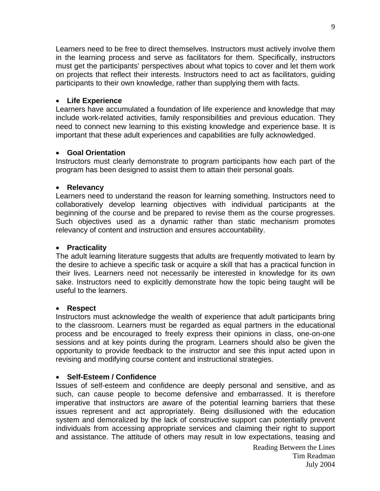<span id="page-8-0"></span>Learners need to be free to direct themselves. Instructors must actively involve them in the learning process and serve as facilitators for them. Specifically, instructors must get the participants' perspectives about what topics to cover and let them work on projects that reflect their interests. Instructors need to act as facilitators, guiding participants to their own knowledge, rather than supplying them with facts.

### • **Life Experience**

Learners have accumulated a foundation of life experience and knowledge that may include work-related activities, family responsibilities and previous education. They need to connect new learning to this existing knowledge and experience base. It is important that these adult experiences and capabilities are fully acknowledged.

#### • **Goal Orientation**

Instructors must clearly demonstrate to program participants how each part of the program has been designed to assist them to attain their personal goals.

#### • **Relevancy**

Learners need to understand the reason for learning something. Instructors need to collaboratively develop learning objectives with individual participants at the beginning of the course and be prepared to revise them as the course progresses. Such objectives used as a dynamic rather than static mechanism promotes relevancy of content and instruction and ensures accountability.

#### • **Practicality**

The adult learning literature suggests that adults are frequently motivated to learn by the desire to achieve a specific task or acquire a skill that has a practical function in their lives. Learners need not necessarily be interested in knowledge for its own sake. Instructors need to explicitly demonstrate how the topic being taught will be useful to the learners.

#### • **Respect**

Instructors must acknowledge the wealth of experience that adult participants bring to the classroom. Learners must be regarded as equal partners in the educational process and be encouraged to freely express their opinions in class, one-on-one sessions and at key points during the program. Learners should also be given the opportunity to provide feedback to the instructor and see this input acted upon in revising and modifying course content and instructional strategies.

#### • **Self-Esteem / Confidence**

Issues of self-esteem and confidence are deeply personal and sensitive, and as such, can cause people to become defensive and embarrassed. It is therefore imperative that instructors are aware of the potential learning barriers that these issues represent and act appropriately. Being disillusioned with the education system and demoralized by the lack of constructive support can potentially prevent individuals from accessing appropriate services and claiming their right to support and assistance. The attitude of others may result in low expectations, teasing and

Reading Between the Lines Tim Readman July 2004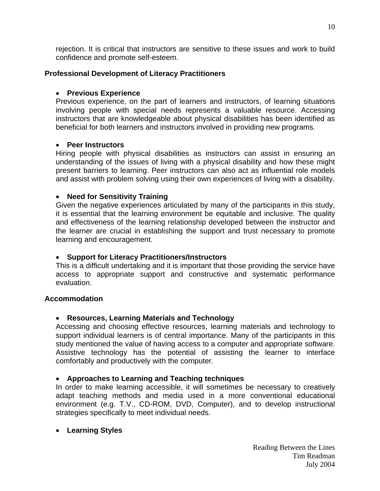<span id="page-9-0"></span>rejection. It is critical that instructors are sensitive to these issues and work to build confidence and promote self-esteem.

#### **Professional Development of Literacy Practitioners**

#### • **Previous Experience**

Previous experience, on the part of learners and instructors, of learning situations involving people with special needs represents a valuable resource. Accessing instructors that are knowledgeable about physical disabilities has been identified as beneficial for both learners and instructors involved in providing new programs.

#### • **Peer Instructors**

Hiring people with physical disabilities as instructors can assist in ensuring an understanding of the issues of living with a physical disability and how these might present barriers to learning. Peer instructors can also act as influential role models and assist with problem solving using their own experiences of living with a disability.

#### • **Need for Sensitivity Training**

Given the negative experiences articulated by many of the participants in this study, it is essential that the learning environment be equitable and inclusive. The quality and effectiveness of the learning relationship developed between the instructor and the learner are crucial in establishing the support and trust necessary to promote learning and encouragement.

#### • **Support for Literacy Practitioners/Instructors**

This is a difficult undertaking and it is important that those providing the service have access to appropriate support and constructive and systematic performance evaluation.

#### **Accommodation**

## • **Resources, Learning Materials and Technology**

Accessing and choosing effective resources, learning materials and technology to support individual learners is of central importance. Many of the participants in this study mentioned the value of having access to a computer and appropriate software. Assistive technology has the potential of assisting the learner to interface comfortably and productively with the computer.

## • **Approaches to Learning and Teaching techniques**

In order to make learning accessible, it will sometimes be necessary to creatively adapt teaching methods and media used in a more conventional educational environment (e.g. T.V., CD-ROM, DVD, Computer), and to develop instructional strategies specifically to meet individual needs.

#### • **Learning Styles**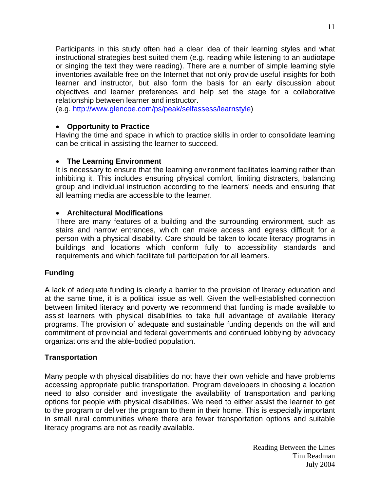<span id="page-10-0"></span>Participants in this study often had a clear idea of their learning styles and what instructional strategies best suited them (e.g. reading while listening to an audiotape or singing the text they were reading). There are a number of simple learning style inventories available free on the Internet that not only provide useful insights for both learner and instructor, but also form the basis for an early discussion about objectives and learner preferences and help set the stage for a collaborative relationship between learner and instructor.

(e.g.<http://www.glencoe.com/ps/peak/selfassess/learnstyle>)

#### • **Opportunity to Practice**

Having the time and space in which to practice skills in order to consolidate learning can be critical in assisting the learner to succeed.

#### • **The Learning Environment**

It is necessary to ensure that the learning environment facilitates learning rather than inhibiting it. This includes ensuring physical comfort, limiting distracters, balancing group and individual instruction according to the learners' needs and ensuring that all learning media are accessible to the learner.

#### • **Architectural Modifications**

There are many features of a building and the surrounding environment, such as stairs and narrow entrances, which can make access and egress difficult for a person with a physical disability. Care should be taken to locate literacy programs in buildings and locations which conform fully to accessibility standards and requirements and which facilitate full participation for all learners.

## **Funding**

A lack of adequate funding is clearly a barrier to the provision of literacy education and at the same time, it is a political issue as well. Given the well-established connection between limited literacy and poverty we recommend that funding is made available to assist learners with physical disabilities to take full advantage of available literacy programs. The provision of adequate and sustainable funding depends on the will and commitment of provincial and federal governments and continued lobbying by advocacy organizations and the able-bodied population.

#### **Transportation**

Many people with physical disabilities do not have their own vehicle and have problems accessing appropriate public transportation. Program developers in choosing a location need to also consider and investigate the availability of transportation and parking options for people with physical disabilities. We need to either assist the learner to get to the program or deliver the program to them in their home. This is especially important in small rural communities where there are fewer transportation options and suitable literacy programs are not as readily available.

> Reading Between the Lines Tim Readman July 2004